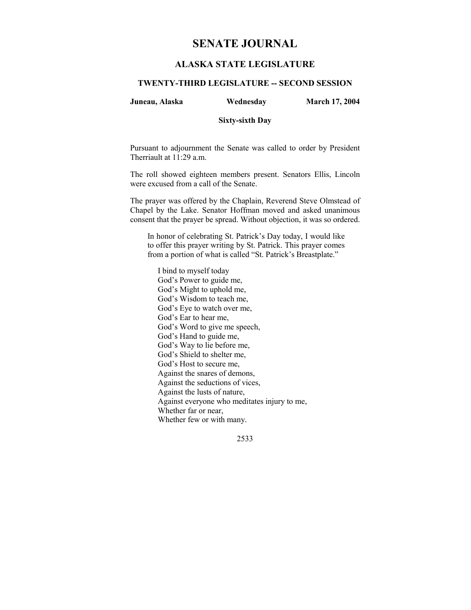# **SENATE JOURNAL**

## **ALASKA STATE LEGISLATURE**

## **TWENTY-THIRD LEGISLATURE -- SECOND SESSION**

### **Juneau, Alaska Wednesday March 17, 2004**

#### **Sixty-sixth Day**

Pursuant to adjournment the Senate was called to order by President Therriault at 11:29 a.m.

The roll showed eighteen members present. Senators Ellis, Lincoln were excused from a call of the Senate.

The prayer was offered by the Chaplain, Reverend Steve Olmstead of Chapel by the Lake. Senator Hoffman moved and asked unanimous consent that the prayer be spread. Without objection, it was so ordered.

In honor of celebrating St. Patrick's Day today, I would like to offer this prayer writing by St. Patrick. This prayer comes from a portion of what is called "St. Patrick's Breastplate."

I bind to myself today God's Power to guide me, God's Might to uphold me, God's Wisdom to teach me, God's Eye to watch over me, God's Ear to hear me, God's Word to give me speech, God's Hand to guide me, God's Way to lie before me, God's Shield to shelter me, God's Host to secure me, Against the snares of demons, Against the seductions of vices, Against the lusts of nature, Against everyone who meditates injury to me, Whether far or near, Whether few or with many.

2533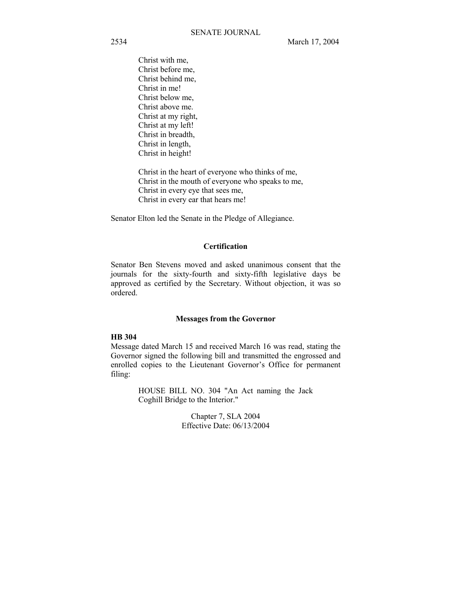Christ with me, Christ before me, Christ behind me, Christ in me! Christ below me, Christ above me. Christ at my right, Christ at my left! Christ in breadth, Christ in length, Christ in height!

Christ in the heart of everyone who thinks of me, Christ in the mouth of everyone who speaks to me, Christ in every eye that sees me, Christ in every ear that hears me!

Senator Elton led the Senate in the Pledge of Allegiance.

## **Certification**

Senator Ben Stevens moved and asked unanimous consent that the journals for the sixty-fourth and sixty-fifth legislative days be approved as certified by the Secretary. Without objection, it was so ordered.

#### **Messages from the Governor**

#### **HB 304**

Message dated March 15 and received March 16 was read, stating the Governor signed the following bill and transmitted the engrossed and enrolled copies to the Lieutenant Governor's Office for permanent filing:

> HOUSE BILL NO. 304 "An Act naming the Jack Coghill Bridge to the Interior."

> > Chapter 7, SLA 2004 Effective Date: 06/13/2004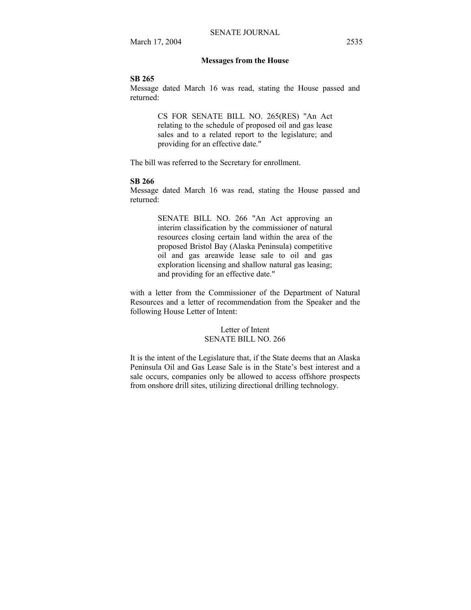#### **Messages from the House**

## **SB 265**

Message dated March 16 was read, stating the House passed and returned:

> CS FOR SENATE BILL NO. 265(RES) "An Act relating to the schedule of proposed oil and gas lease sales and to a related report to the legislature; and providing for an effective date."

The bill was referred to the Secretary for enrollment.

#### **SB 266**

Message dated March 16 was read, stating the House passed and returned:

> SENATE BILL NO. 266 "An Act approving an interim classification by the commissioner of natural resources closing certain land within the area of the proposed Bristol Bay (Alaska Peninsula) competitive oil and gas areawide lease sale to oil and gas exploration licensing and shallow natural gas leasing; and providing for an effective date."

with a letter from the Commissioner of the Department of Natural Resources and a letter of recommendation from the Speaker and the following House Letter of Intent:

## Letter of Intent SENATE BILL NO. 266

It is the intent of the Legislature that, if the State deems that an Alaska Peninsula Oil and Gas Lease Sale is in the State's best interest and a sale occurs, companies only be allowed to access offshore prospects from onshore drill sites, utilizing directional drilling technology.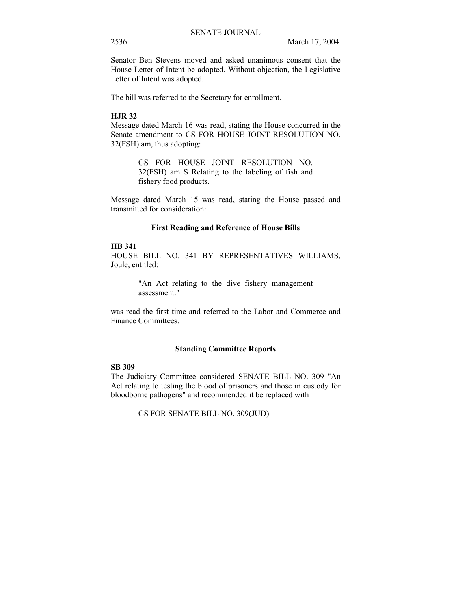Senator Ben Stevens moved and asked unanimous consent that the House Letter of Intent be adopted. Without objection, the Legislative Letter of Intent was adopted.

The bill was referred to the Secretary for enrollment.

## **HJR 32**

Message dated March 16 was read, stating the House concurred in the Senate amendment to CS FOR HOUSE JOINT RESOLUTION NO. 32(FSH) am, thus adopting:

> CS FOR HOUSE JOINT RESOLUTION NO. 32(FSH) am S Relating to the labeling of fish and fishery food products.

Message dated March 15 was read, stating the House passed and transmitted for consideration:

### **First Reading and Reference of House Bills**

#### **HB 341**

HOUSE BILL NO. 341 BY REPRESENTATIVES WILLIAMS, Joule, entitled:

> "An Act relating to the dive fishery management assessment."

was read the first time and referred to the Labor and Commerce and Finance Committees.

#### **Standing Committee Reports**

## **SB 309**

The Judiciary Committee considered SENATE BILL NO. 309 "An Act relating to testing the blood of prisoners and those in custody for bloodborne pathogens" and recommended it be replaced with

CS FOR SENATE BILL NO. 309(JUD)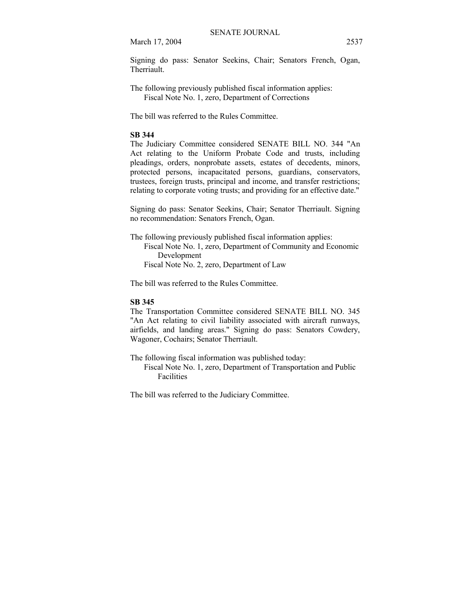March 17, 2004 2537

Signing do pass: Senator Seekins, Chair; Senators French, Ogan, Therriault.

The following previously published fiscal information applies: Fiscal Note No. 1, zero, Department of Corrections

The bill was referred to the Rules Committee.

## **SB 344**

The Judiciary Committee considered SENATE BILL NO. 344 "An Act relating to the Uniform Probate Code and trusts, including pleadings, orders, nonprobate assets, estates of decedents, minors, protected persons, incapacitated persons, guardians, conservators, trustees, foreign trusts, principal and income, and transfer restrictions; relating to corporate voting trusts; and providing for an effective date."

Signing do pass: Senator Seekins, Chair; Senator Therriault. Signing no recommendation: Senators French, Ogan.

The following previously published fiscal information applies: Fiscal Note No. 1, zero, Department of Community and Economic Development Fiscal Note No. 2, zero, Department of Law

The bill was referred to the Rules Committee.

## **SB 345**

The Transportation Committee considered SENATE BILL NO. 345 "An Act relating to civil liability associated with aircraft runways, airfields, and landing areas." Signing do pass: Senators Cowdery, Wagoner, Cochairs; Senator Therriault.

The following fiscal information was published today:

 Fiscal Note No. 1, zero, Department of Transportation and Public Facilities

The bill was referred to the Judiciary Committee.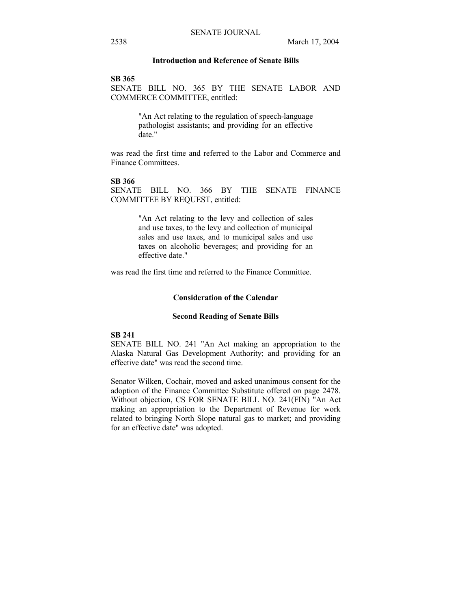## **Introduction and Reference of Senate Bills**

#### **SB 365**

SENATE BILL NO. 365 BY THE SENATE LABOR AND COMMERCE COMMITTEE, entitled:

> "An Act relating to the regulation of speech-language pathologist assistants; and providing for an effective date."

was read the first time and referred to the Labor and Commerce and Finance Committees.

#### **SB 366**

SENATE BILL NO. 366 BY THE SENATE FINANCE COMMITTEE BY REQUEST, entitled:

> "An Act relating to the levy and collection of sales and use taxes, to the levy and collection of municipal sales and use taxes, and to municipal sales and use taxes on alcoholic beverages; and providing for an effective date."

was read the first time and referred to the Finance Committee.

## **Consideration of the Calendar**

#### **Second Reading of Senate Bills**

## **SB 241**

SENATE BILL NO. 241 "An Act making an appropriation to the Alaska Natural Gas Development Authority; and providing for an effective date" was read the second time.

Senator Wilken, Cochair, moved and asked unanimous consent for the adoption of the Finance Committee Substitute offered on page 2478. Without objection, CS FOR SENATE BILL NO. 241(FIN) "An Act making an appropriation to the Department of Revenue for work related to bringing North Slope natural gas to market; and providing for an effective date" was adopted.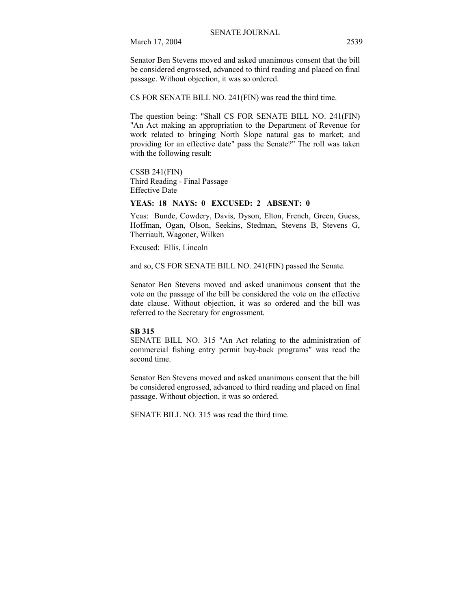Senator Ben Stevens moved and asked unanimous consent that the bill be considered engrossed, advanced to third reading and placed on final passage. Without objection, it was so ordered.

CS FOR SENATE BILL NO. 241(FIN) was read the third time.

The question being: "Shall CS FOR SENATE BILL NO. 241(FIN) "An Act making an appropriation to the Department of Revenue for work related to bringing North Slope natural gas to market; and providing for an effective date" pass the Senate?" The roll was taken with the following result:

CSSB 241(FIN) Third Reading - Final Passage Effective Date

## **YEAS: 18 NAYS: 0 EXCUSED: 2 ABSENT: 0**

Yeas: Bunde, Cowdery, Davis, Dyson, Elton, French, Green, Guess, Hoffman, Ogan, Olson, Seekins, Stedman, Stevens B, Stevens G, Therriault, Wagoner, Wilken

Excused: Ellis, Lincoln

and so, CS FOR SENATE BILL NO. 241(FIN) passed the Senate.

Senator Ben Stevens moved and asked unanimous consent that the vote on the passage of the bill be considered the vote on the effective date clause. Without objection, it was so ordered and the bill was referred to the Secretary for engrossment.

#### **SB 315**

SENATE BILL NO. 315 "An Act relating to the administration of commercial fishing entry permit buy-back programs" was read the second time.

Senator Ben Stevens moved and asked unanimous consent that the bill be considered engrossed, advanced to third reading and placed on final passage. Without objection, it was so ordered.

SENATE BILL NO. 315 was read the third time.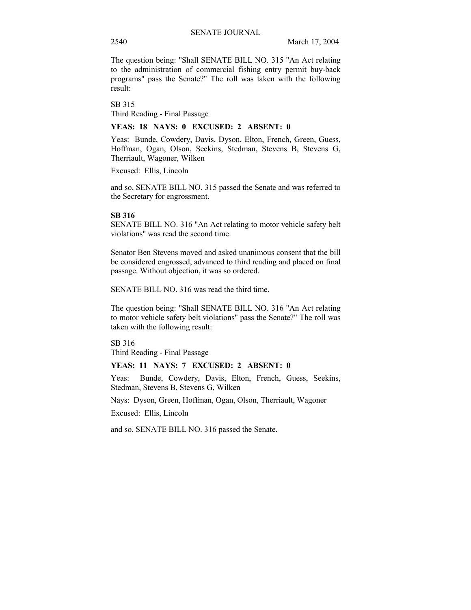The question being: "Shall SENATE BILL NO. 315 "An Act relating to the administration of commercial fishing entry permit buy-back programs" pass the Senate?" The roll was taken with the following result:

SB 315 Third Reading - Final Passage

## **YEAS: 18 NAYS: 0 EXCUSED: 2 ABSENT: 0**

Yeas: Bunde, Cowdery, Davis, Dyson, Elton, French, Green, Guess, Hoffman, Ogan, Olson, Seekins, Stedman, Stevens B, Stevens G, Therriault, Wagoner, Wilken

Excused: Ellis, Lincoln

and so, SENATE BILL NO. 315 passed the Senate and was referred to the Secretary for engrossment.

## **SB 316**

SENATE BILL NO. 316 "An Act relating to motor vehicle safety belt violations" was read the second time.

Senator Ben Stevens moved and asked unanimous consent that the bill be considered engrossed, advanced to third reading and placed on final passage. Without objection, it was so ordered.

SENATE BILL NO. 316 was read the third time.

The question being: "Shall SENATE BILL NO. 316 "An Act relating to motor vehicle safety belt violations" pass the Senate?" The roll was taken with the following result:

SB 316 Third Reading - Final Passage

## **YEAS: 11 NAYS: 7 EXCUSED: 2 ABSENT: 0**

Yeas: Bunde, Cowdery, Davis, Elton, French, Guess, Seekins, Stedman, Stevens B, Stevens G, Wilken

Nays: Dyson, Green, Hoffman, Ogan, Olson, Therriault, Wagoner

Excused: Ellis, Lincoln

and so, SENATE BILL NO. 316 passed the Senate.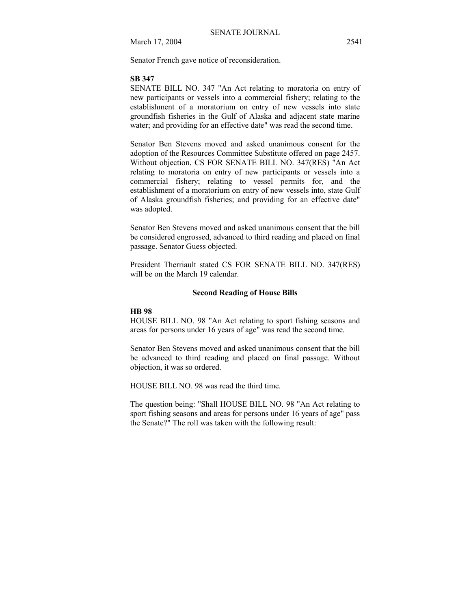March 17, 2004 2541

Senator French gave notice of reconsideration.

#### **SB 347**

SENATE BILL NO. 347 "An Act relating to moratoria on entry of new participants or vessels into a commercial fishery; relating to the establishment of a moratorium on entry of new vessels into state groundfish fisheries in the Gulf of Alaska and adjacent state marine water; and providing for an effective date" was read the second time.

Senator Ben Stevens moved and asked unanimous consent for the adoption of the Resources Committee Substitute offered on page 2457. Without objection, CS FOR SENATE BILL NO. 347(RES) "An Act relating to moratoria on entry of new participants or vessels into a commercial fishery; relating to vessel permits for, and the establishment of a moratorium on entry of new vessels into, state Gulf of Alaska groundfish fisheries; and providing for an effective date" was adopted.

Senator Ben Stevens moved and asked unanimous consent that the bill be considered engrossed, advanced to third reading and placed on final passage. Senator Guess objected.

President Therriault stated CS FOR SENATE BILL NO. 347(RES) will be on the March 19 calendar.

#### **Second Reading of House Bills**

#### **HB 98**

HOUSE BILL NO. 98 "An Act relating to sport fishing seasons and areas for persons under 16 years of age" was read the second time.

Senator Ben Stevens moved and asked unanimous consent that the bill be advanced to third reading and placed on final passage. Without objection, it was so ordered.

HOUSE BILL NO. 98 was read the third time.

The question being: "Shall HOUSE BILL NO. 98 "An Act relating to sport fishing seasons and areas for persons under 16 years of age" pass the Senate?" The roll was taken with the following result: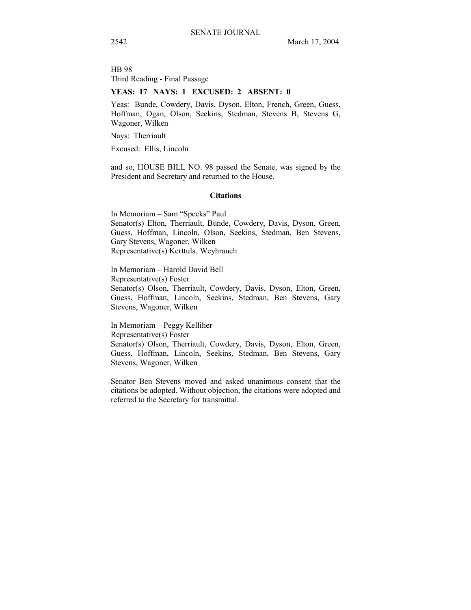HB 98 Third Reading - Final Passage

### **YEAS: 17 NAYS: 1 EXCUSED: 2 ABSENT: 0**

Yeas: Bunde, Cowdery, Davis, Dyson, Elton, French, Green, Guess, Hoffman, Ogan, Olson, Seekins, Stedman, Stevens B, Stevens G, Wagoner, Wilken

Nays: Therriault

Excused: Ellis, Lincoln

and so, HOUSE BILL NO. 98 passed the Senate, was signed by the President and Secretary and returned to the House.

## **Citations**

In Memoriam – Sam "Specks" Paul Senator(s) Elton, Therriault, Bunde, Cowdery, Davis, Dyson, Green, Guess, Hoffman, Lincoln, Olson, Seekins, Stedman, Ben Stevens, Gary Stevens, Wagoner, Wilken Representative(s) Kerttula, Weyhrauch

In Memoriam - Harold David Bell Representative(s) Foster Senator(s) Olson, Therriault, Cowdery, Davis, Dyson, Elton, Green, Guess, Hoffman, Lincoln, Seekins, Stedman, Ben Stevens, Gary Stevens, Wagoner, Wilken

In Memoriam - Peggy Kelliher Representative(s) Foster Senator(s) Olson, Therriault, Cowdery, Davis, Dyson, Elton, Green, Guess, Hoffman, Lincoln, Seekins, Stedman, Ben Stevens, Gary Stevens, Wagoner, Wilken

Senator Ben Stevens moved and asked unanimous consent that the citations be adopted. Without objection, the citations were adopted and referred to the Secretary for transmittal.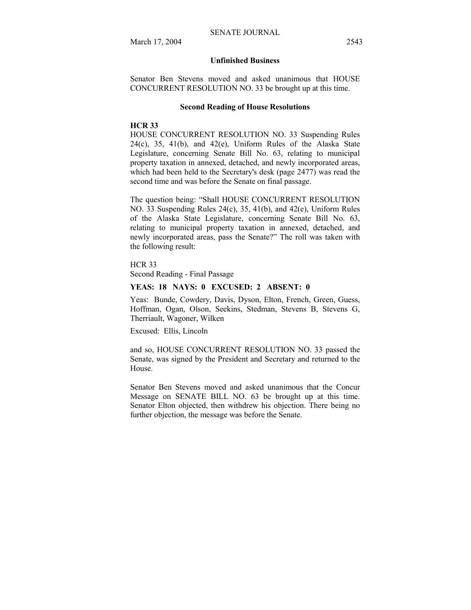## **Unfinished Business**

Senator Ben Stevens moved and asked unanimous that HOUSE CONCURRENT RESOLUTION NO. 33 be brought up at this time.

#### **Second Reading of House Resolutions**

## **HCR 33**

HOUSE CONCURRENT RESOLUTION NO. 33 Suspending Rules  $24(c)$ ,  $35$ ,  $41(b)$ , and  $42(e)$ , Uniform Rules of the Alaska State Legislature, concerning Senate Bill No. 63, relating to municipal property taxation in annexed, detached, and newly incorporated areas, which had been held to the Secretary's desk (page 2477) was read the second time and was before the Senate on final passage.

The question being: "Shall HOUSE CONCURRENT RESOLUTION NO. 33 Suspending Rules 24(c), 35, 41(b), and 42(e), Uniform Rules of the Alaska State Legislature, concerning Senate Bill No. 63, relating to municipal property taxation in annexed, detached, and newly incorporated areas, pass the Senate?" The roll was taken with the following result:

HCR 33

Second Reading - Final Passage

## **YEAS: 18 NAYS: 0 EXCUSED: 2 ABSENT: 0**

Yeas: Bunde, Cowdery, Davis, Dyson, Elton, French, Green, Guess, Hoffman, Ogan, Olson, Seekins, Stedman, Stevens B, Stevens G, Therriault, Wagoner, Wilken

Excused: Ellis, Lincoln

and so, HOUSE CONCURRENT RESOLUTION NO. 33 passed the Senate, was signed by the President and Secretary and returned to the House.

Senator Ben Stevens moved and asked unanimous that the Concur Message on SENATE BILL NO. 63 be brought up at this time. Senator Elton objected, then withdrew his objection. There being no further objection, the message was before the Senate.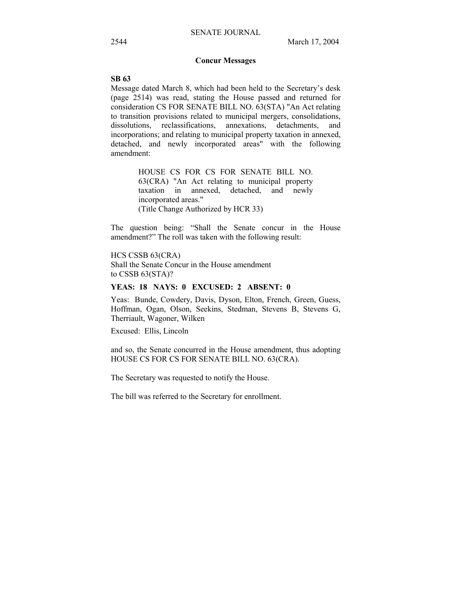## **Concur Messages**

## **SB 63**

Message dated March 8, which had been held to the Secretary's desk (page 2514) was read, stating the House passed and returned for consideration CS FOR SENATE BILL NO. 63(STA) "An Act relating to transition provisions related to municipal mergers, consolidations, dissolutions, reclassifications, annexations, detachments, and incorporations; and relating to municipal property taxation in annexed, detached, and newly incorporated areas" with the following amendment:

> HOUSE CS FOR CS FOR SENATE BILL NO. 63(CRA) "An Act relating to municipal property taxation in annexed, detached, and newly incorporated areas." (Title Change Authorized by HCR 33)

The question being: "Shall the Senate concur in the House amendment?" The roll was taken with the following result:

HCS CSSB 63(CRA) Shall the Senate Concur in the House amendment to CSSB 63(STA)?

## **YEAS: 18 NAYS: 0 EXCUSED: 2 ABSENT: 0**

Yeas: Bunde, Cowdery, Davis, Dyson, Elton, French, Green, Guess, Hoffman, Ogan, Olson, Seekins, Stedman, Stevens B, Stevens G, Therriault, Wagoner, Wilken

Excused: Ellis, Lincoln

and so, the Senate concurred in the House amendment, thus adopting HOUSE CS FOR CS FOR SENATE BILL NO. 63(CRA).

The Secretary was requested to notify the House.

The bill was referred to the Secretary for enrollment.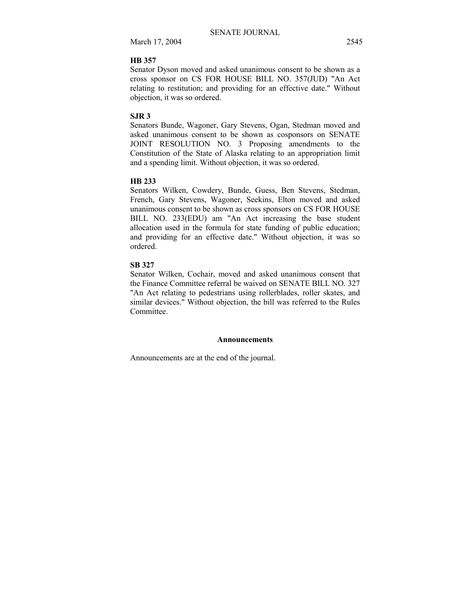March 17, 2004 2545

## **HB 357**

Senator Dyson moved and asked unanimous consent to be shown as a cross sponsor on CS FOR HOUSE BILL NO. 357(JUD) "An Act relating to restitution; and providing for an effective date." Without objection, it was so ordered.

## **SJR 3**

Senators Bunde, Wagoner, Gary Stevens, Ogan, Stedman moved and asked unanimous consent to be shown as cosponsors on SENATE JOINT RESOLUTION NO. 3 Proposing amendments to the Constitution of the State of Alaska relating to an appropriation limit and a spending limit. Without objection, it was so ordered.

#### **HB 233**

Senators Wilken, Cowdery, Bunde, Guess, Ben Stevens, Stedman, French, Gary Stevens, Wagoner, Seekins, Elton moved and asked unanimous consent to be shown as cross sponsors on CS FOR HOUSE BILL NO. 233(EDU) am "An Act increasing the base student allocation used in the formula for state funding of public education; and providing for an effective date." Without objection, it was so ordered.

#### **SB 327**

Senator Wilken, Cochair, moved and asked unanimous consent that the Finance Committee referral be waived on SENATE BILL NO. 327 "An Act relating to pedestrians using rollerblades, roller skates, and similar devices." Without objection, the bill was referred to the Rules Committee.

#### **Announcements**

Announcements are at the end of the journal.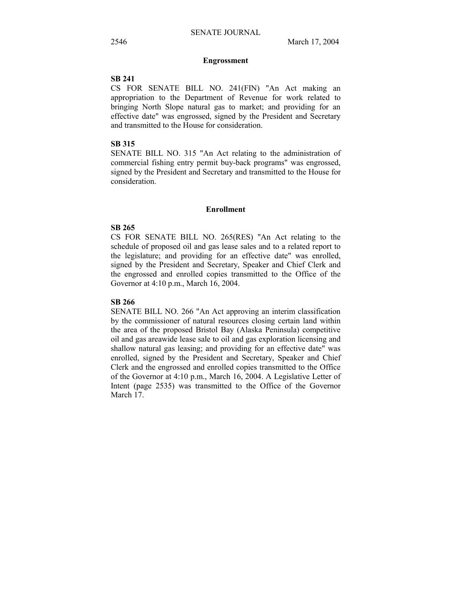#### **Engrossment**

## **SB 241**

CS FOR SENATE BILL NO. 241(FIN) "An Act making an appropriation to the Department of Revenue for work related to bringing North Slope natural gas to market; and providing for an effective date" was engrossed, signed by the President and Secretary and transmitted to the House for consideration.

## **SB 315**

SENATE BILL NO. 315 "An Act relating to the administration of commercial fishing entry permit buy-back programs" was engrossed, signed by the President and Secretary and transmitted to the House for consideration.

#### **Enrollment**

## **SB 265**

CS FOR SENATE BILL NO. 265(RES) "An Act relating to the schedule of proposed oil and gas lease sales and to a related report to the legislature; and providing for an effective date" was enrolled, signed by the President and Secretary, Speaker and Chief Clerk and the engrossed and enrolled copies transmitted to the Office of the Governor at 4:10 p.m., March 16, 2004.

### **SB 266**

SENATE BILL NO. 266 "An Act approving an interim classification by the commissioner of natural resources closing certain land within the area of the proposed Bristol Bay (Alaska Peninsula) competitive oil and gas areawide lease sale to oil and gas exploration licensing and shallow natural gas leasing; and providing for an effective date" was enrolled, signed by the President and Secretary, Speaker and Chief Clerk and the engrossed and enrolled copies transmitted to the Office of the Governor at 4:10 p.m., March 16, 2004. A Legislative Letter of Intent (page 2535) was transmitted to the Office of the Governor March 17.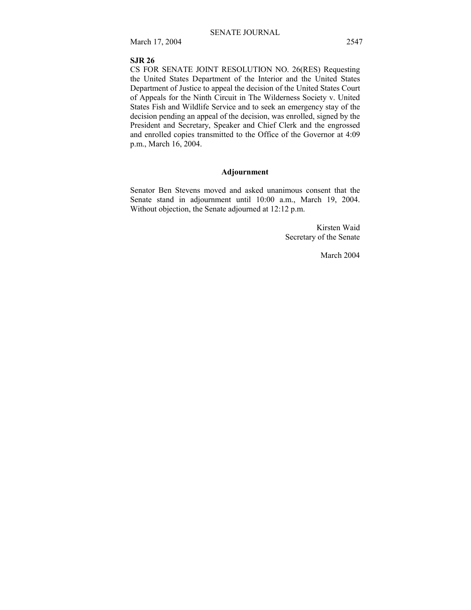March 17, 2004 2547

## **SJR 26**

CS FOR SENATE JOINT RESOLUTION NO. 26(RES) Requesting the United States Department of the Interior and the United States Department of Justice to appeal the decision of the United States Court of Appeals for the Ninth Circuit in The Wilderness Society v. United States Fish and Wildlife Service and to seek an emergency stay of the decision pending an appeal of the decision, was enrolled, signed by the President and Secretary, Speaker and Chief Clerk and the engrossed and enrolled copies transmitted to the Office of the Governor at 4:09 p.m., March 16, 2004.

## **Adjournment**

Senator Ben Stevens moved and asked unanimous consent that the Senate stand in adjournment until 10:00 a.m., March 19, 2004. Without objection, the Senate adjourned at 12:12 p.m.

> Kirsten Waid Secretary of the Senate

> > March 2004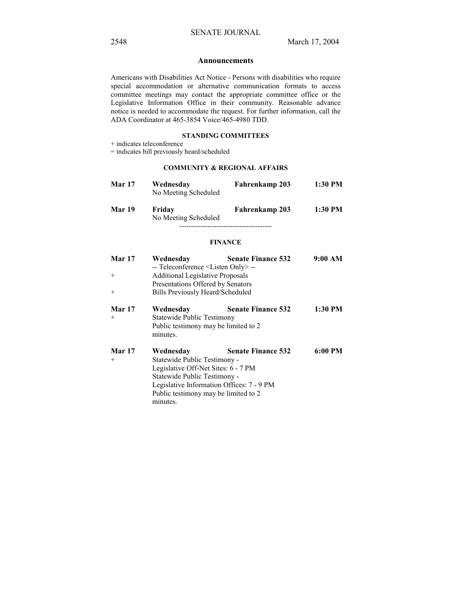#### **Announcements**

Americans with Disabilities Act Notice - Persons with disabilities who require special accommodation or alternative communication formats to access committee meetings may contact the appropriate committee office or the Legislative Information Office in their community. Reasonable advance notice is needed to accommodate the request. For further information, call the ADA Coordinator at 465-3854 Voice/465-4980 TDD.

#### **STANDING COMMITTEES**

+ indicates teleconference

= indicates bill previously heard/scheduled

## **COMMUNITY & REGIONAL AFFAIRS**

| <b>Mar 17</b> | Wednesday<br>No Meeting Scheduled | Fahrenkamp 203 | 1:30 PM |
|---------------|-----------------------------------|----------------|---------|
| <b>Mar 19</b> | Friday<br>No Meeting Scheduled    | Fahrenkamp 203 | 1:30 PM |

#### **FINANCE**

| <b>Mar 17</b> | Wednesday                                      | <b>Senate Finance 532</b> | 9:00 AM |  |
|---------------|------------------------------------------------|---------------------------|---------|--|
|               | -- Teleconference <listen only=""> --</listen> |                           |         |  |
| $^{+}$        | <b>Additional Legislative Proposals</b>        |                           |         |  |
|               | Presentations Offered by Senators              |                           |         |  |
| $+$           | Bills Previously Heard/Scheduled               |                           |         |  |
| <b>Mar 17</b> | Wednesday                                      | <b>Senate Finance 532</b> | 1:30 PM |  |
| $^{+}$        | Statewide Public Testimony                     |                           |         |  |
|               | Public testimony may be limited to 2           |                           |         |  |
|               | minutes.                                       |                           |         |  |
| <b>Mar 17</b> | Wednesday                                      | <b>Senate Finance 532</b> | 6:00 PM |  |
| $+$           | Statewide Public Testimony -                   |                           |         |  |
|               | Legislative Off-Net Sites: 6 - 7 PM            |                           |         |  |
|               | Statewide Public Testimony -                   |                           |         |  |
|               | Legislative Information Offices: 7 - 9 PM      |                           |         |  |
|               | Public testimony may be limited to 2           |                           |         |  |
|               | minutes.                                       |                           |         |  |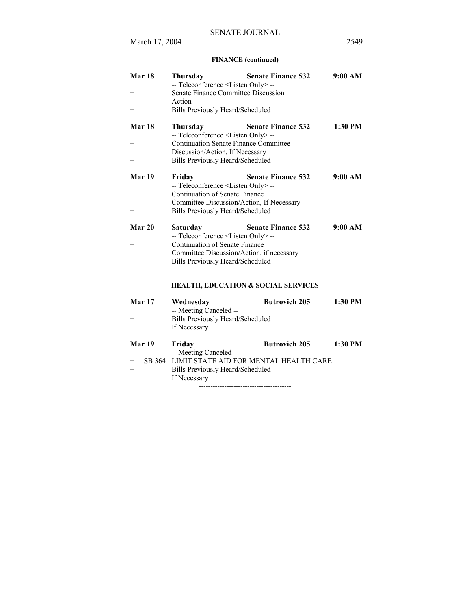## **FINANCE (continued)**

| Mar 18<br>$\hspace{0.1mm} +$<br>$+$               | Thursday<br>-- Teleconference <listen only=""> --<br/>Senate Finance Committee Discussion<br/>Action<br/>Bills Previously Heard/Scheduled</listen>                                         | <b>Senate Finance 532</b>                                              | 9:00 AM   |
|---------------------------------------------------|--------------------------------------------------------------------------------------------------------------------------------------------------------------------------------------------|------------------------------------------------------------------------|-----------|
| Mar <sub>18</sub><br>$\hspace{0.1mm} +$<br>$^{+}$ | <b>Thursday</b><br>-- Teleconference <listen only="">--<br/><b>Continuation Senate Finance Committee</b><br/>Discussion/Action, If Necessary<br/>Bills Previously Heard/Scheduled</listen> | <b>Senate Finance 532</b>                                              | $1:30$ PM |
| Mar 19<br>$^{+}$<br>$+$                           | Friday<br>-- Teleconference <listen only="">--<br/>Continuation of Senate Finance<br/>Committee Discussion/Action, If Necessary<br/>Bills Previously Heard/Scheduled</listen>              | <b>Senate Finance 532</b>                                              | 9:00 AM   |
| Mar 20<br>$^{+}$<br>$^{+}$                        | Saturday<br>-- Teleconference <listen only=""> --<br/>Continuation of Senate Finance<br/>Committee Discussion/Action, if necessary<br/>Bills Previously Heard/Scheduled</listen>           | <b>Senate Finance 532</b>                                              | 9:00 AM   |
| Mar 17<br>$^{+}$                                  | Wednesday<br>-- Meeting Canceled --<br><b>Bills Previously Heard/Scheduled</b><br>If Necessary                                                                                             | <b>HEALTH, EDUCATION &amp; SOCIAL SERVICES</b><br><b>Butrovich 205</b> | 1:30 PM   |
| Mar 19<br>SB 364<br>$^{+}$<br>$^{+}$              | Friday<br>-- Meeting Canceled --<br><b>Bills Previously Heard/Scheduled</b><br>If Necessary                                                                                                | <b>Butrovich 205</b><br>LIMIT STATE AID FOR MENTAL HEALTH CARE         | $1:30$ PM |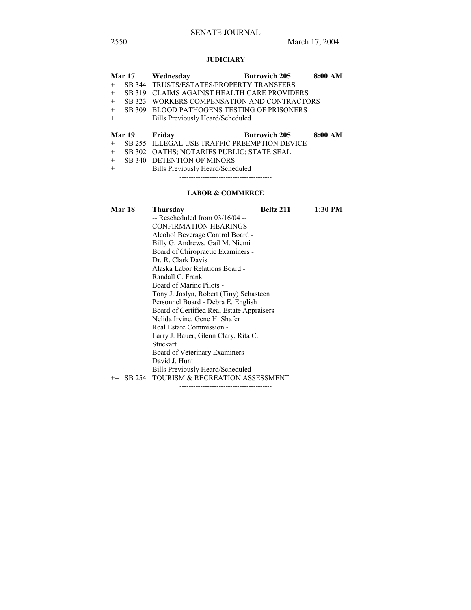# SENATE JOURNAL

## **JUDICIARY**

|        | <b>Mar 17</b> | Wednesday                                    | <b>Butrovich 205</b> | 8:00 AM |
|--------|---------------|----------------------------------------------|----------------------|---------|
| $+$    |               | SB 344 TRUSTS/ESTATES/PROPERTY TRANSFERS     |                      |         |
| $^{+}$ | SB 319        | <b>CLAIMS AGAINST HEALTH CARE PROVIDERS</b>  |                      |         |
| $+$    | SB 323        | WORKERS COMPENSATION AND CONTRACTORS         |                      |         |
| $+$    |               | SB 309 BLOOD PATHOGENS TESTING OF PRISONERS  |                      |         |
| $+$    |               | Bills Previously Heard/Scheduled             |                      |         |
|        | Mar 19        | Friday                                       | <b>Butrovich 205</b> | 8:00 AM |
| $+$    |               | SB 255 ILLEGAL USE TRAFFIC PREEMPTION DEVICE |                      |         |
| $+$    |               | SB 302 OATHS; NOTARIES PUBLIC; STATE SEAL    |                      |         |
|        |               |                                              |                      |         |
| $+$    | SB 340        | <b>DETENTION OF MINORS</b>                   |                      |         |

## **LABOR & COMMERCE**

----------------------------------------

| <b>Mar 18</b> | Thursday<br>$-$ Rescheduled from 03/16/04 $-$<br>CONFIRMATION HEARINGS:<br>Alcohol Beverage Control Board -<br>Billy G. Andrews, Gail M. Niemi<br>Board of Chiropractic Examiners -<br>Dr. R. Clark Davis<br>Alaska Labor Relations Board -<br>Randall C. Frank<br>Board of Marine Pilots -<br>Tony J. Joslyn, Robert (Tiny) Schasteen<br>Personnel Board - Debra E. English<br>Board of Certified Real Estate Appraisers<br>Nelida Irvine, Gene H. Shafer<br>Real Estate Commission -<br>Larry J. Bauer, Glenn Clary, Rita C.<br>Stuckart | Beltz 211 | 1:30 PM |
|---------------|--------------------------------------------------------------------------------------------------------------------------------------------------------------------------------------------------------------------------------------------------------------------------------------------------------------------------------------------------------------------------------------------------------------------------------------------------------------------------------------------------------------------------------------------|-----------|---------|
|               |                                                                                                                                                                                                                                                                                                                                                                                                                                                                                                                                            |           |         |
|               | Board of Veterinary Examiners -<br>David J. Hunt                                                                                                                                                                                                                                                                                                                                                                                                                                                                                           |           |         |
|               | Bills Previously Heard/Scheduled<br>SB 254 TOURISM & RECREATION ASSESSMENT                                                                                                                                                                                                                                                                                                                                                                                                                                                                 |           |         |
|               |                                                                                                                                                                                                                                                                                                                                                                                                                                                                                                                                            |           |         |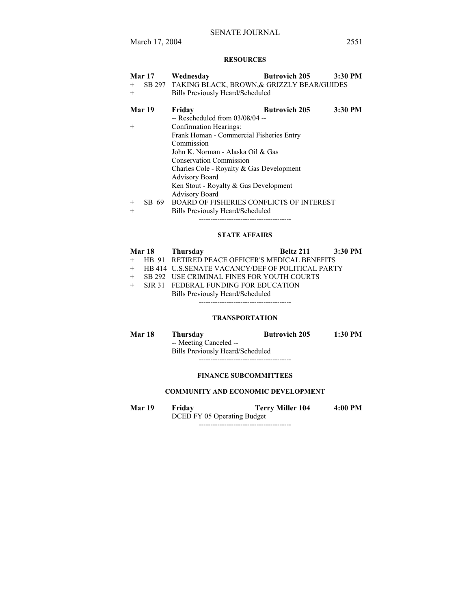## **RESOURCES**

| Mar 17          | Wednesday                                         | <b>Butrovich 205</b> | 3:30 PM |
|-----------------|---------------------------------------------------|----------------------|---------|
| $^{+}$          | SB 297 TAKING BLACK, BROWN, & GRIZZLY BEAR/GUIDES |                      |         |
| $+$             | Bills Previously Heard/Scheduled                  |                      |         |
| Mar 19          | Friday                                            | <b>Butrovich 205</b> | 3:30 PM |
|                 | $-$ Rescheduled from 03/08/04 $-$                 |                      |         |
| $^{+}$          | Confirmation Hearings:                            |                      |         |
|                 | Frank Homan - Commercial Fisheries Entry          |                      |         |
|                 | Commission                                        |                      |         |
|                 | John K. Norman - Alaska Oil & Gas                 |                      |         |
|                 | <b>Conservation Commission</b>                    |                      |         |
|                 | Charles Cole - Royalty & Gas Development          |                      |         |
|                 | <b>Advisory Board</b>                             |                      |         |
|                 | Ken Stout - Royalty & Gas Development             |                      |         |
|                 | <b>Advisory Board</b>                             |                      |         |
| SB 69<br>$^{+}$ | <b>BOARD OF FISHERIES CONFLICTS OF INTEREST</b>   |                      |         |
| $^{+}$          | Bills Previously Heard/Scheduled                  |                      |         |

# ---------------------------------------- **STATE AFFAIRS**

# **Mar 18 Thursday Beltz 211 3:30 PM**  + HB 91 RETIRED PEACE OFFICER'S MEDICAL BENEFITS + HB 414 U.S.SENATE VACANCY/DEF OF POLITICAL PARTY + SB 292 USE CRIMINAL FINES FOR YOUTH COURTS + SJR 31 FEDERAL FUNDING FOR EDUCATION Bills Previously Heard/Scheduled ----------------------------------------

## **TRANSPORTATION**

| Mar 18 | Thursdav                         | <b>Butrovich 205</b> | 1:30 PM |
|--------|----------------------------------|----------------------|---------|
|        | -- Meeting Canceled --           |                      |         |
|        | Bills Previously Heard/Scheduled |                      |         |

----------------------------------------

#### **FINANCE SUBCOMMITTEES**

## **COMMUNITY AND ECONOMIC DEVELOPMENT**

**Mar 19 Friday Terry Miller 104 4:00 PM**  DCED FY 05 Operating Budget ----------------------------------------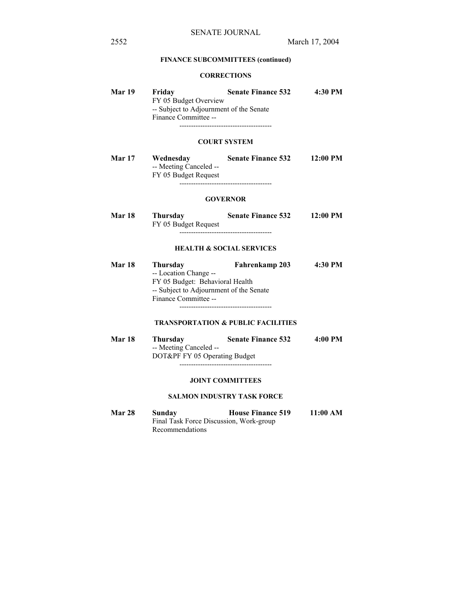## **FINANCE SUBCOMMITTEES (continued)**

#### **CORRECTIONS**

| Mar 19 | Friday<br>FY 05 Budget Overview                                 | 4:30 PM<br><b>Senate Finance 532</b> |            |  |
|--------|-----------------------------------------------------------------|--------------------------------------|------------|--|
|        | -- Subject to Adjournment of the Senate<br>Finance Committee -- |                                      |            |  |
|        |                                                                 | <b>COURT SYSTEM</b>                  |            |  |
| Mar 17 | Wednesday<br>-- Meeting Canceled --<br>FY 05 Budget Request     | <b>Senate Finance 532</b>            | $12:00$ PM |  |

## **GOVERNOR**

----------------------------------------

| Mar 18 | <b>Thursday</b>      | <b>Senate Finance 532</b> | $12:00$ PM |
|--------|----------------------|---------------------------|------------|
|        | FY 05 Budget Request |                           |            |
|        |                      |                           |            |

#### **HEALTH & SOCIAL SERVICES**

| <b>Mar 18</b> | Thursday                                | Fahrenkamp 203 | 4:30 PM |
|---------------|-----------------------------------------|----------------|---------|
|               | -- Location Change --                   |                |         |
|               | FY 05 Budget: Behavioral Health         |                |         |
|               | -- Subject to Adjournment of the Senate |                |         |
|               | Finance Committee --                    |                |         |
|               |                                         |                |         |

## **TRANSPORTATION & PUBLIC FACILITIES**

| <b>Mar 18</b> | Thursday                      | <b>Senate Finance 532</b> | 4:00 PM |
|---------------|-------------------------------|---------------------------|---------|
|               | -- Meeting Canceled --        |                           |         |
|               | DOT&PF FY 05 Operating Budget |                           |         |
|               |                               |                           |         |

#### **JOINT COMMITTEES**

#### **SALMON INDUSTRY TASK FORCE**

**Mar 28 Sunday House Finance 519 11:00 AM**  Final Task Force Discussion, Work-group Recommendations